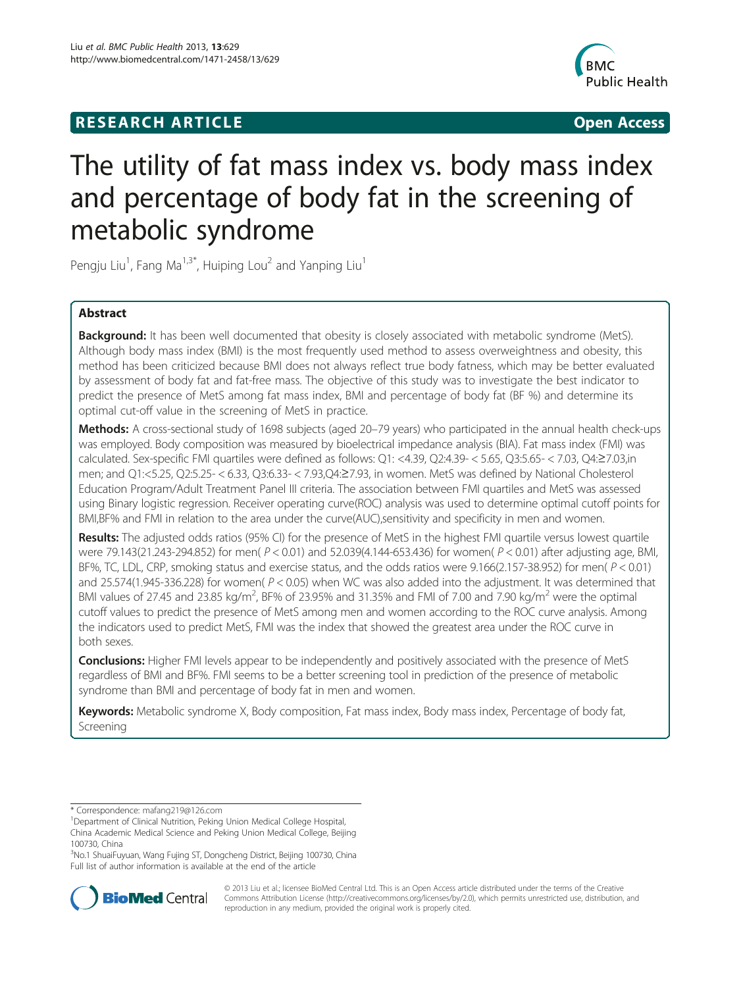## **RESEARCH ARTICLE Example 2014 12:30 The SEAR CHIPS 2014 12:30 The Open Access**



# The utility of fat mass index vs. body mass index and percentage of body fat in the screening of metabolic syndrome

Pengju Liu<sup>1</sup>, Fang Ma<sup>1,3\*</sup>, Huiping Lou<sup>2</sup> and Yanping Liu<sup>1</sup>

## Abstract

Background: It has been well documented that obesity is closely associated with metabolic syndrome (MetS). Although body mass index (BMI) is the most frequently used method to assess overweightness and obesity, this method has been criticized because BMI does not always reflect true body fatness, which may be better evaluated by assessment of body fat and fat-free mass. The objective of this study was to investigate the best indicator to predict the presence of MetS among fat mass index, BMI and percentage of body fat (BF %) and determine its optimal cut-off value in the screening of MetS in practice.

Methods: A cross-sectional study of 1698 subjects (aged 20–79 years) who participated in the annual health check-ups was employed. Body composition was measured by bioelectrical impedance analysis (BIA). Fat mass index (FMI) was calculated. Sex-specific FMI quartiles were defined as follows: Q1: <4.39, Q2:4.39- < 5.65, Q3:5.65- < 7.03, Q4:≥7.03,in men; and Q1:<5.25, Q2:5.25- < 6.33, Q3:6.33- < 7.93,Q4:≥7.93, in women. MetS was defined by National Cholesterol Education Program/Adult Treatment Panel III criteria. The association between FMI quartiles and MetS was assessed using Binary logistic regression. Receiver operating curve(ROC) analysis was used to determine optimal cutoff points for BMI,BF% and FMI in relation to the area under the curve(AUC),sensitivity and specificity in men and women.

Results: The adjusted odds ratios (95% CI) for the presence of MetS in the highest FMI quartile versus lowest quartile were 79.143(21.243-294.852) for men( $P < 0.01$ ) and 52.039(4.144-653.436) for women( $P < 0.01$ ) after adjusting age, BMI, BF%, TC, LDL, CRP, smoking status and exercise status, and the odds ratios were  $9.166(2.157-38.952)$  for men( $P < 0.01$ ) and 25.574(1.945-336.228) for women( $P < 0.05$ ) when WC was also added into the adjustment. It was determined that BMI values of 27.45 and 23.85 kg/m<sup>2</sup>, BF% of 23.95% and 31.35% and FMI of 7.00 and 7.90 kg/m<sup>2</sup> were the optimal cutoff values to predict the presence of MetS among men and women according to the ROC curve analysis. Among the indicators used to predict MetS, FMI was the index that showed the greatest area under the ROC curve in both sexes.

**Conclusions:** Higher FMI levels appear to be independently and positively associated with the presence of MetS regardless of BMI and BF%. FMI seems to be a better screening tool in prediction of the presence of metabolic syndrome than BMI and percentage of body fat in men and women.

Keywords: Metabolic syndrome X, Body composition, Fat mass index, Body mass index, Percentage of body fat, Screening

<sup>&</sup>lt;sup>3</sup>No.1 ShuaiFuyuan, Wang Fujing ST, Dongcheng District, Beijing 100730, China Full list of author information is available at the end of the article



© 2013 Liu et al.; licensee BioMed Central Ltd. This is an Open Access article distributed under the terms of the Creative Commons Attribution License [\(http://creativecommons.org/licenses/by/2.0\)](http://creativecommons.org/licenses/by/2.0), which permits unrestricted use, distribution, and reproduction in any medium, provided the original work is properly cited.

<sup>\*</sup> Correspondence: [mafang219@126.com](mailto:mafang219@126.com) <sup>1</sup>

<sup>&</sup>lt;sup>1</sup> Department of Clinical Nutrition, Peking Union Medical College Hospital, China Academic Medical Science and Peking Union Medical College, Beijing 100730, China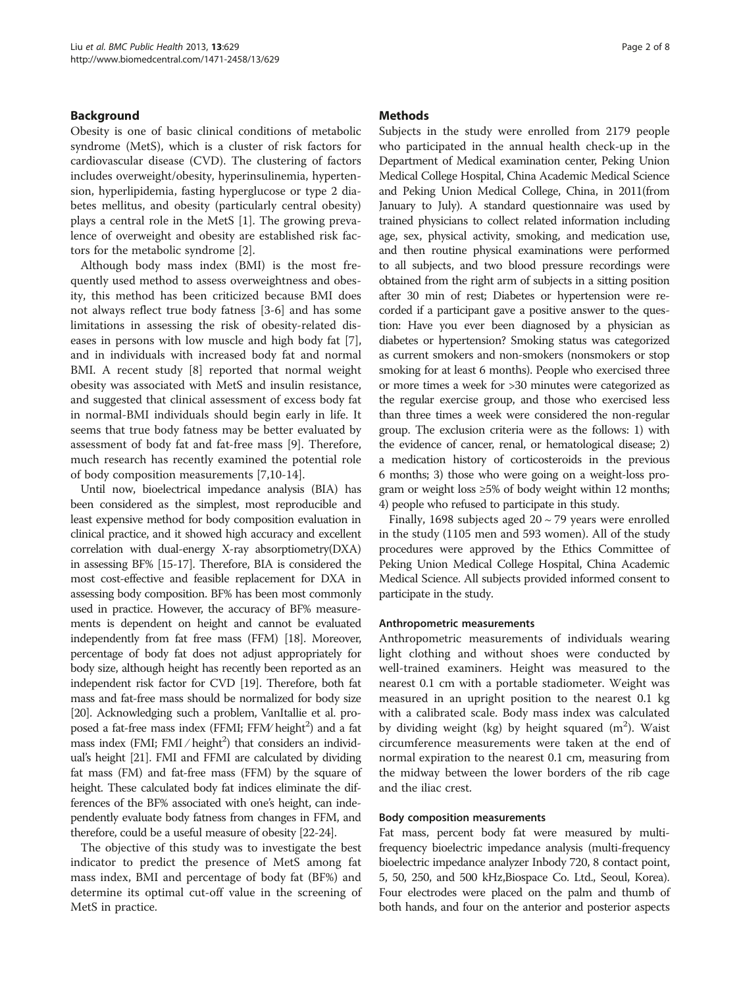## Background

Obesity is one of basic clinical conditions of metabolic syndrome (MetS), which is a cluster of risk factors for cardiovascular disease (CVD). The clustering of factors includes overweight/obesity, hyperinsulinemia, hypertension, hyperlipidemia, fasting hyperglucose or type 2 diabetes mellitus, and obesity (particularly central obesity) plays a central role in the MetS [[1\]](#page-6-0). The growing prevalence of overweight and obesity are established risk factors for the metabolic syndrome [[2\]](#page-6-0).

Although body mass index (BMI) is the most frequently used method to assess overweightness and obesity, this method has been criticized because BMI does not always reflect true body fatness [\[3](#page-6-0)-[6\]](#page-6-0) and has some limitations in assessing the risk of obesity-related diseases in persons with low muscle and high body fat [\[7](#page-6-0)], and in individuals with increased body fat and normal BMI. A recent study [[8\]](#page-6-0) reported that normal weight obesity was associated with MetS and insulin resistance, and suggested that clinical assessment of excess body fat in normal-BMI individuals should begin early in life. It seems that true body fatness may be better evaluated by assessment of body fat and fat-free mass [\[9](#page-6-0)]. Therefore, much research has recently examined the potential role of body composition measurements [[7,10-14\]](#page-6-0).

Until now, bioelectrical impedance analysis (BIA) has been considered as the simplest, most reproducible and least expensive method for body composition evaluation in clinical practice, and it showed high accuracy and excellent correlation with dual-energy X-ray absorptiometry(DXA) in assessing BF% [[15-17\]](#page-6-0). Therefore, BIA is considered the most cost-effective and feasible replacement for DXA in assessing body composition. BF% has been most commonly used in practice. However, the accuracy of BF% measurements is dependent on height and cannot be evaluated independently from fat free mass (FFM) [[18\]](#page-7-0). Moreover, percentage of body fat does not adjust appropriately for body size, although height has recently been reported as an independent risk factor for CVD [\[19](#page-7-0)]. Therefore, both fat mass and fat-free mass should be normalized for body size [[20](#page-7-0)]. Acknowledging such a problem, VanItallie et al. proposed a fat-free mass index (FFMI; FFM/ height<sup>2</sup>) and a fat mass index (FMI; FMI / height<sup>2</sup>) that considers an individual's height [\[21\]](#page-7-0). FMI and FFMI are calculated by dividing fat mass (FM) and fat-free mass (FFM) by the square of height. These calculated body fat indices eliminate the differences of the BF% associated with one's height, can independently evaluate body fatness from changes in FFM, and therefore, could be a useful measure of obesity [\[22-24\]](#page-7-0).

The objective of this study was to investigate the best indicator to predict the presence of MetS among fat mass index, BMI and percentage of body fat (BF%) and determine its optimal cut-off value in the screening of MetS in practice.

## **Methods**

Subjects in the study were enrolled from 2179 people who participated in the annual health check-up in the Department of Medical examination center, Peking Union Medical College Hospital, China Academic Medical Science and Peking Union Medical College, China, in 2011(from January to July). A standard questionnaire was used by trained physicians to collect related information including age, sex, physical activity, smoking, and medication use, and then routine physical examinations were performed to all subjects, and two blood pressure recordings were obtained from the right arm of subjects in a sitting position after 30 min of rest; Diabetes or hypertension were recorded if a participant gave a positive answer to the question: Have you ever been diagnosed by a physician as diabetes or hypertension? Smoking status was categorized as current smokers and non-smokers (nonsmokers or stop smoking for at least 6 months). People who exercised three or more times a week for >30 minutes were categorized as the regular exercise group, and those who exercised less than three times a week were considered the non-regular group. The exclusion criteria were as the follows: 1) with the evidence of cancer, renal, or hematological disease; 2) a medication history of corticosteroids in the previous 6 months; 3) those who were going on a weight-loss program or weight loss ≥5% of body weight within 12 months; 4) people who refused to participate in this study.

Finally, 1698 subjects aged  $20 \sim 79$  years were enrolled in the study (1105 men and 593 women). All of the study procedures were approved by the Ethics Committee of Peking Union Medical College Hospital, China Academic Medical Science. All subjects provided informed consent to participate in the study.

#### Anthropometric measurements

Anthropometric measurements of individuals wearing light clothing and without shoes were conducted by well-trained examiners. Height was measured to the nearest 0.1 cm with a portable stadiometer. Weight was measured in an upright position to the nearest 0.1 kg with a calibrated scale. Body mass index was calculated by dividing weight (kg) by height squared  $(m^2)$ . Waist circumference measurements were taken at the end of normal expiration to the nearest 0.1 cm, measuring from the midway between the lower borders of the rib cage and the iliac crest.

#### Body composition measurements

Fat mass, percent body fat were measured by multifrequency bioelectric impedance analysis (multi-frequency bioelectric impedance analyzer Inbody 720, 8 contact point, 5, 50, 250, and 500 kHz,Biospace Co. Ltd., Seoul, Korea). Four electrodes were placed on the palm and thumb of both hands, and four on the anterior and posterior aspects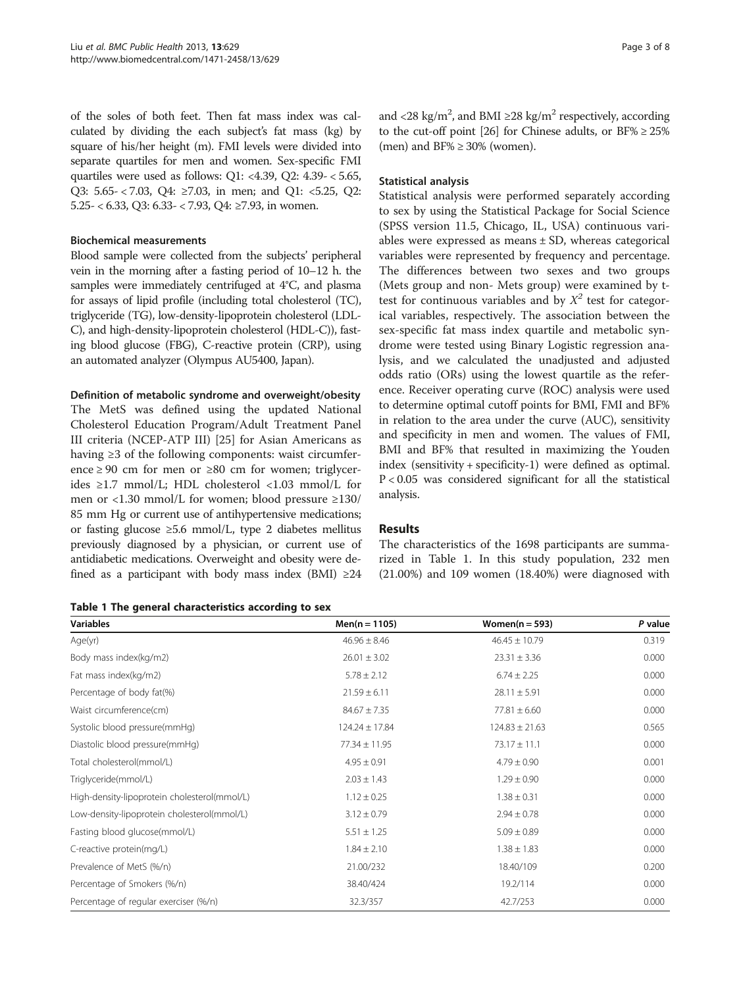of the soles of both feet. Then fat mass index was calculated by dividing the each subject's fat mass (kg) by square of his/her height (m). FMI levels were divided into separate quartiles for men and women. Sex-specific FMI quartiles were used as follows: Q1: <4.39, Q2: 4.39- < 5.65, Q3: 5.65- < 7.03, Q4: ≥7.03, in men; and Q1: <5.25, Q2: 5.25- < 6.33, Q3: 6.33- < 7.93, Q4: ≥7.93, in women.

#### Biochemical measurements

Blood sample were collected from the subjects' peripheral vein in the morning after a fasting period of 10–12 h. the samples were immediately centrifuged at 4°C, and plasma for assays of lipid profile (including total cholesterol (TC), triglyceride (TG), low-density-lipoprotein cholesterol (LDL-C), and high-density-lipoprotein cholesterol (HDL-C)), fasting blood glucose (FBG), C-reactive protein (CRP), using an automated analyzer (Olympus AU5400, Japan).

## Definition of metabolic syndrome and overweight/obesity

The MetS was defined using the updated National Cholesterol Education Program/Adult Treatment Panel III criteria (NCEP-ATP III) [\[25](#page-7-0)] for Asian Americans as having ≥3 of the following components: waist circumference  $\geq$  90 cm for men or  $\geq$  80 cm for women; triglycerides ≥1.7 mmol/L; HDL cholesterol <1.03 mmol/L for men or <1.30 mmol/L for women; blood pressure ≥130/ 85 mm Hg or current use of antihypertensive medications; or fasting glucose ≥5.6 mmol/L, type 2 diabetes mellitus previously diagnosed by a physician, or current use of antidiabetic medications. Overweight and obesity were defined as a participant with body mass index (BMI)  $\geq 24$ 

Table 1 The general characteristics according to sex

and <28 kg/m<sup>2</sup>, and BMI ≥28 kg/m<sup>2</sup> respectively, according to the cut-off point [[26](#page-7-0)] for Chinese adults, or  $BF\% \ge 25\%$ (men) and  $BF\% \geq 30\%$  (women).

## Statistical analysis

Statistical analysis were performed separately according to sex by using the Statistical Package for Social Science (SPSS version 11.5, Chicago, IL, USA) continuous variables were expressed as means  $\pm$  SD, whereas categorical variables were represented by frequency and percentage. The differences between two sexes and two groups (Mets group and non- Mets group) were examined by ttest for continuous variables and by  $X^2$  test for categorical variables, respectively. The association between the sex-specific fat mass index quartile and metabolic syndrome were tested using Binary Logistic regression analysis, and we calculated the unadjusted and adjusted odds ratio (ORs) using the lowest quartile as the reference. Receiver operating curve (ROC) analysis were used to determine optimal cutoff points for BMI, FMI and BF% in relation to the area under the curve (AUC), sensitivity and specificity in men and women. The values of FMI, BMI and BF% that resulted in maximizing the Youden index (sensitivity + specificity-1) were defined as optimal. P < 0.05 was considered significant for all the statistical analysis.

## Results

The characteristics of the 1698 participants are summarized in Table 1. In this study population, 232 men (21.00%) and 109 women (18.40%) were diagnosed with

| <b>Variables</b>                             | $Men(n = 1105)$    | Women( $n = 593$ ) | P value |
|----------------------------------------------|--------------------|--------------------|---------|
| Age(yr)                                      | $46.96 \pm 8.46$   | $46.45 \pm 10.79$  | 0.319   |
| Body mass index(kg/m2)                       | $26.01 \pm 3.02$   | $23.31 \pm 3.36$   | 0.000   |
| Fat mass index(kg/m2)                        | $5.78 \pm 2.12$    | $6.74 \pm 2.25$    | 0.000   |
| Percentage of body fat(%)                    | $21.59 \pm 6.11$   | $28.11 \pm 5.91$   | 0.000   |
| Waist circumference(cm)                      | $84.67 \pm 7.35$   | $77.81 \pm 6.60$   | 0.000   |
| Systolic blood pressure(mmHg)                | $124.24 \pm 17.84$ | $124.83 \pm 21.63$ | 0.565   |
| Diastolic blood pressure(mmHg)               | $77.34 \pm 11.95$  | $73.17 \pm 11.1$   | 0.000   |
| Total cholesterol(mmol/L)                    | $4.95 \pm 0.91$    | $4.79 \pm 0.90$    | 0.001   |
| Triglyceride(mmol/L)                         | $2.03 \pm 1.43$    | $1.29 \pm 0.90$    | 0.000   |
| High-density-lipoprotein cholesterol(mmol/L) | $1.12 \pm 0.25$    | $1.38 \pm 0.31$    | 0.000   |
| Low-density-lipoprotein cholesterol(mmol/L)  | $3.12 \pm 0.79$    | $2.94 \pm 0.78$    | 0.000   |
| Fasting blood glucose(mmol/L)                | $5.51 \pm 1.25$    | $5.09 \pm 0.89$    | 0.000   |
| C-reactive protein(mg/L)                     | $1.84 \pm 2.10$    | $1.38 \pm 1.83$    | 0.000   |
| Prevalence of MetS (%/n)                     | 21.00/232          | 18.40/109          | 0.200   |
| Percentage of Smokers (%/n)                  | 38.40/424          | 19.2/114           | 0.000   |
| Percentage of regular exerciser (%/n)        | 32.3/357           | 42.7/253           | 0.000   |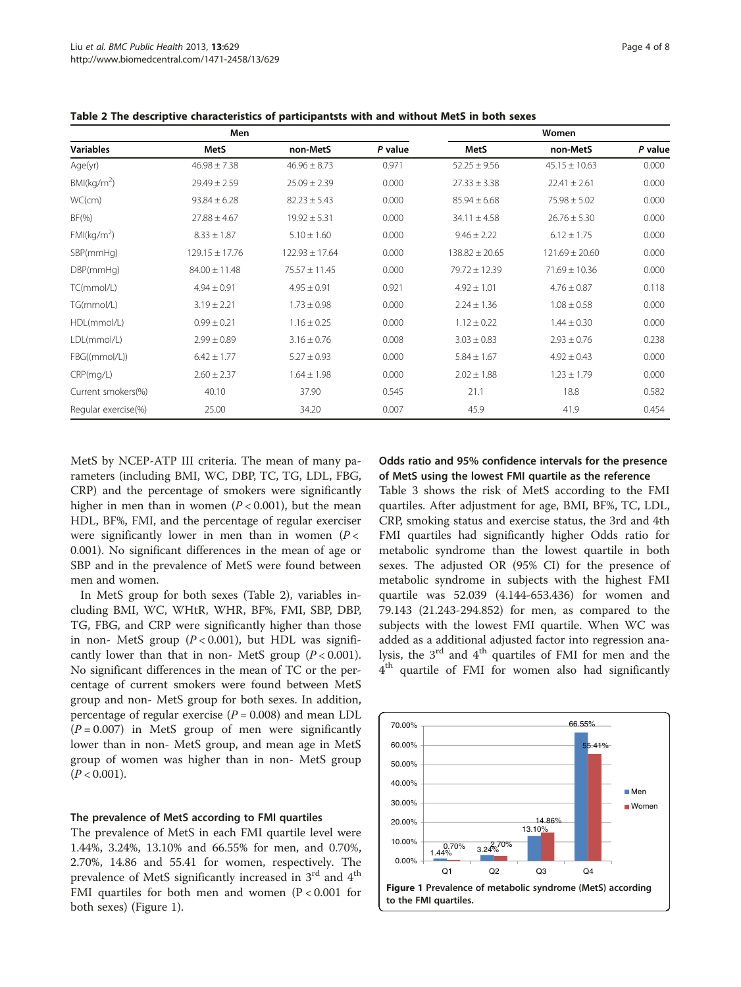| Men                     |                    |                    |         | Women              |                    |         |  |
|-------------------------|--------------------|--------------------|---------|--------------------|--------------------|---------|--|
| <b>Variables</b>        | MetS               | non-MetS           | P value | <b>MetS</b>        | non-MetS           | P value |  |
| Age(yr)                 | $46.98 \pm 7.38$   | $46.96 \pm 8.73$   | 0.971   | $52.25 \pm 9.56$   | $45.15 \pm 10.63$  | 0.000   |  |
| BMl(kq/m <sup>2</sup> ) | $29.49 \pm 2.59$   | $25.09 \pm 2.39$   | 0.000   | $27.33 \pm 3.38$   | $22.41 \pm 2.61$   | 0.000   |  |
| WC(cm)                  | $93.84 \pm 6.28$   | $82.23 \pm 5.43$   | 0.000   | $85.94 \pm 6.68$   | $75.98 \pm 5.02$   | 0.000   |  |
| $BF(\% )$               | $27.88 \pm 4.67$   | $19.92 \pm 5.31$   | 0.000   | $34.11 \pm 4.58$   | $26.76 \pm 5.30$   | 0.000   |  |
| FMl(kq/m <sup>2</sup> ) | $8.33 \pm 1.87$    | $5.10 \pm 1.60$    | 0.000   | $9.46 \pm 2.22$    | $6.12 \pm 1.75$    | 0.000   |  |
| SBP(mmHg)               | $129.15 \pm 17.76$ | $122.93 \pm 17.64$ | 0.000   | $138.82 \pm 20.65$ | $121.69 \pm 20.60$ | 0.000   |  |
| DBP(mmHq)               | $84.00 \pm 11.48$  | $75.57 \pm 11.45$  | 0.000   | $79.72 \pm 12.39$  | $71.69 \pm 10.36$  | 0.000   |  |
| TC(mmol/L)              | $4.94 \pm 0.91$    | $4.95 \pm 0.91$    | 0.921   | $4.92 \pm 1.01$    | $4.76 \pm 0.87$    | 0.118   |  |
| TG(mmol/L)              | $3.19 \pm 2.21$    | $1.73 \pm 0.98$    | 0.000   | $2.24 \pm 1.36$    | $1.08 \pm 0.58$    | 0.000   |  |
| HDL(mmol/L)             | $0.99 \pm 0.21$    | $1.16 \pm 0.25$    | 0.000   | $1.12 \pm 0.22$    | $1.44 \pm 0.30$    | 0.000   |  |
| LDL(mmol/L)             | $2.99 \pm 0.89$    | $3.16 \pm 0.76$    | 0.008   | $3.03 \pm 0.83$    | $2.93 \pm 0.76$    | 0.238   |  |
| FBG((mmol/L))           | $6.42 \pm 1.77$    | $5.27 \pm 0.93$    | 0.000   | $5.84 \pm 1.67$    | $4.92 \pm 0.43$    | 0.000   |  |
| CRP(mq/L)               | $2.60 \pm 2.37$    | $1.64 \pm 1.98$    | 0.000   | $2.02 \pm 1.88$    | $1.23 \pm 1.79$    | 0.000   |  |
| Current smokers(%)      | 40.10              | 37.90              | 0.545   | 21.1               | 18.8               | 0.582   |  |
| Regular exercise(%)     | 25.00              | 34.20              | 0.007   | 45.9               | 41.9               | 0.454   |  |

Table 2 The descriptive characteristics of participantsts with and without MetS in both sexes

MetS by NCEP-ATP III criteria. The mean of many parameters (including BMI, WC, DBP, TC, TG, LDL, FBG, CRP) and the percentage of smokers were significantly higher in men than in women ( $P < 0.001$ ), but the mean HDL, BF%, FMI, and the percentage of regular exerciser were significantly lower in men than in women  $(P <$ 0.001). No significant differences in the mean of age or SBP and in the prevalence of MetS were found between men and women.

In MetS group for both sexes (Table 2), variables including BMI, WC, WHtR, WHR, BF%, FMI, SBP, DBP, TG, FBG, and CRP were significantly higher than those in non- MetS group  $(P < 0.001)$ , but HDL was significantly lower than that in non- MetS group  $(P < 0.001)$ . No significant differences in the mean of TC or the percentage of current smokers were found between MetS group and non- MetS group for both sexes. In addition, percentage of regular exercise ( $P = 0.008$ ) and mean LDL  $(P = 0.007)$  in MetS group of men were significantly lower than in non- MetS group, and mean age in MetS group of women was higher than in non- MetS group  $(P < 0.001)$ .

#### The prevalence of MetS according to FMI quartiles

The prevalence of MetS in each FMI quartile level were 1.44%, 3.24%, 13.10% and 66.55% for men, and 0.70%, 2.70%, 14.86 and 55.41 for women, respectively. The prevalence of MetS significantly increased in 3<sup>rd</sup> and 4<sup>th</sup> FMI quartiles for both men and women  $(P < 0.001$  for both sexes) (Figure 1).

## Odds ratio and 95% confidence intervals for the presence of MetS using the lowest FMI quartile as the reference

Table [3](#page-4-0) shows the risk of MetS according to the FMI quartiles. After adjustment for age, BMI, BF%, TC, LDL, CRP, smoking status and exercise status, the 3rd and 4th FMI quartiles had significantly higher Odds ratio for metabolic syndrome than the lowest quartile in both sexes. The adjusted OR (95% CI) for the presence of metabolic syndrome in subjects with the highest FMI quartile was 52.039 (4.144-653.436) for women and 79.143 (21.243-294.852) for men, as compared to the subjects with the lowest FMI quartile. When WC was added as a additional adjusted factor into regression analysis, the  $3<sup>rd</sup>$  and  $4<sup>th</sup>$  quartiles of FMI for men and the  $4<sup>th</sup>$  quartile of FMI for women also had significantly

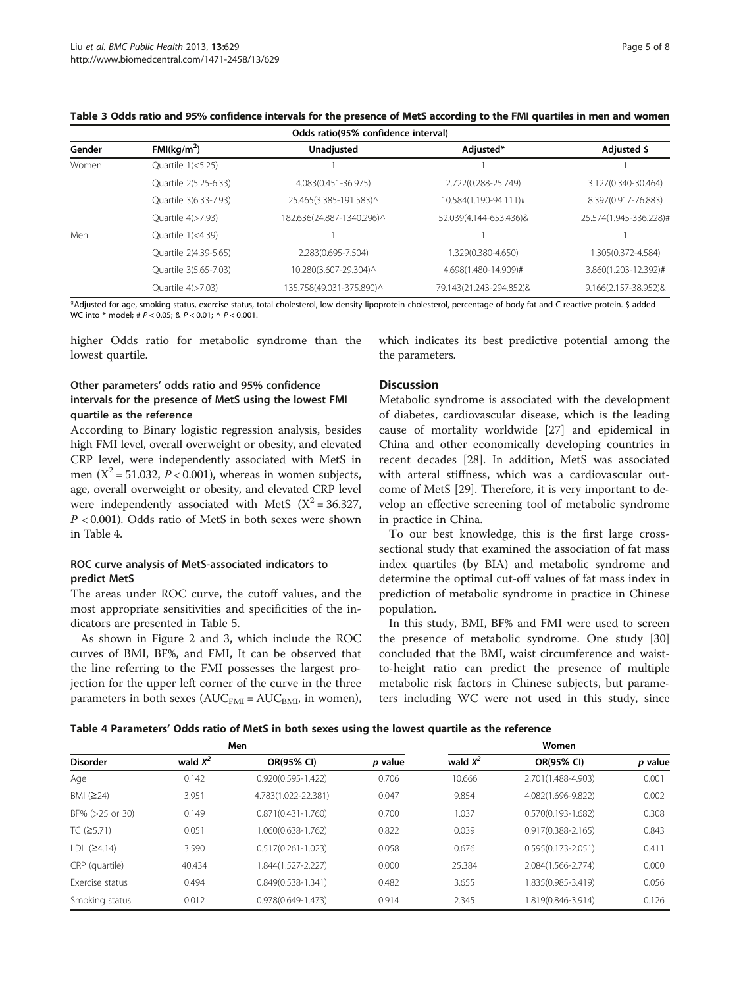| Odds ratio(95% confidence interval) |                         |                           |                        |                        |  |
|-------------------------------------|-------------------------|---------------------------|------------------------|------------------------|--|
| Gender                              | FMl(kq/m <sup>2</sup> ) | Unadjusted                | Adjusted*              | Adjusted \$            |  |
| Women                               | Quartile 1(<5.25)       |                           |                        |                        |  |
|                                     | Quartile 2(5.25-6.33)   | 4.083(0.451-36.975)       | 2.722(0.288-25.749)    | 3.127(0.340-30.464)    |  |
|                                     | Quartile 3(6.33-7.93)   | 25.465(3.385-191.583)^    | 10.584(1.190-94.111)#  | 8.397(0.917-76.883)    |  |
|                                     | Ouartile 4(>7.93)       | 182.636(24.887-1340.296)^ | 52.039(4.144-653.436)& | 25.574(1.945-336.228)# |  |
| Men                                 | Quartile 1(<4.39)       |                           |                        |                        |  |

## <span id="page-4-0"></span>Table 3 Odds ratio and 95% confidence intervals for the presence of MetS according to the FMI quartiles in men and women

\*Adjusted for age, smoking status, exercise status, total cholesterol, low-density-lipoprotein cholesterol, percentage of body fat and C-reactive protein. \$ added WC into \* model; # P < 0.05; & P < 0.01; ^ P < 0.001.

higher Odds ratio for metabolic syndrome than the lowest quartile.

## Other parameters' odds ratio and 95% confidence intervals for the presence of MetS using the lowest FMI quartile as the reference

According to Binary logistic regression analysis, besides high FMI level, overall overweight or obesity, and elevated CRP level, were independently associated with MetS in men ( $X^2$  = 51.032,  $P$  < 0.001), whereas in women subjects, age, overall overweight or obesity, and elevated CRP level were independently associated with MetS  $(X^2 = 36.327)$ ,  $P < 0.001$ ). Odds ratio of MetS in both sexes were shown in Table 4.

## ROC curve analysis of MetS-associated indicators to predict MetS

The areas under ROC curve, the cutoff values, and the most appropriate sensitivities and specificities of the indicators are presented in Table [5.](#page-5-0)

As shown in Figure [2](#page-5-0) and [3,](#page-5-0) which include the ROC curves of BMI, BF%, and FMI, It can be observed that the line referring to the FMI possesses the largest projection for the upper left corner of the curve in the three parameters in both sexes ( $AUC_{FMI} = AUC_{BMI}$ , in women), which indicates its best predictive potential among the the parameters.

## **Discussion**

Quartile 2(4.39-5.65) 2.283(0.695-7.504) 1.329(0.380-4.650) 1.305(0.372-4.584) Quartile 3(5.65-7.03) 10.280(3.607-29.304)^ 4.698(1.480-14.909)# 3.860(1.203-12.392)# Quartile 4(>7.03) 135.758(49.031-375.890)^ 79.143(21.243-294.852)& 9.166(2.157-38.952)&

> Metabolic syndrome is associated with the development of diabetes, cardiovascular disease, which is the leading cause of mortality worldwide [\[27\]](#page-7-0) and epidemical in China and other economically developing countries in recent decades [\[28](#page-7-0)]. In addition, MetS was associated with arteral stiffness, which was a cardiovascular outcome of MetS [[29](#page-7-0)]. Therefore, it is very important to develop an effective screening tool of metabolic syndrome in practice in China.

> To our best knowledge, this is the first large crosssectional study that examined the association of fat mass index quartiles (by BIA) and metabolic syndrome and determine the optimal cut-off values of fat mass index in prediction of metabolic syndrome in practice in Chinese population.

> In this study, BMI, BF% and FMI were used to screen the presence of metabolic syndrome. One study [[30](#page-7-0)] concluded that the BMI, waist circumference and waistto-height ratio can predict the presence of multiple metabolic risk factors in Chinese subjects, but parameters including WC were not used in this study, since

| Table 4 Parameters' Odds ratio of MetS in both sexes using the lowest quartile as the reference |  |  |  |  |  |
|-------------------------------------------------------------------------------------------------|--|--|--|--|--|
|-------------------------------------------------------------------------------------------------|--|--|--|--|--|

| Men             |            |                        |         | Women      |                        |         |  |
|-----------------|------------|------------------------|---------|------------|------------------------|---------|--|
| <b>Disorder</b> | wald $X^2$ | OR(95% CI)             | p value | wald $X^2$ | <b>OR(95% CI)</b>      | p value |  |
| Age             | 0.142      | $0.920(0.595 - 1.422)$ | 0.706   | 10.666     | 2.701(1.488-4.903)     | 0.001   |  |
| BMI $(≥24)$     | 3.951      | 4.783(1.022-22.381)    | 0.047   | 9.854      | 4.082(1.696-9.822)     | 0.002   |  |
| BF% (>25 or 30) | 0.149      | $0.871(0.431 - 1.760)$ | 0.700   | 1.037      | $0.570(0.193 - 1.682)$ | 0.308   |  |
| TC $(25.71)$    | 0.051      | 1.060(0.638-1.762)     | 0.822   | 0.039      | $0.917(0.388 - 2.165)$ | 0.843   |  |
| LDL (24.14)     | 3.590      | $0.517(0.261 - 1.023)$ | 0.058   | 0.676      | $0.595(0.173 - 2.051)$ | 0.411   |  |
| CRP (quartile)  | 40.434     | 1.844(1.527-2.227)     | 0.000   | 25.384     | 2.084(1.566-2.774)     | 0.000   |  |
| Exercise status | 0.494      | $0.849(0.538 - 1.341)$ | 0.482   | 3.655      | 1.835(0.985-3.419)     | 0.056   |  |
| Smoking status  | 0.012      | 0.978(0.649-1.473)     | 0.914   | 2.345      | 1.819(0.846-3.914)     | 0.126   |  |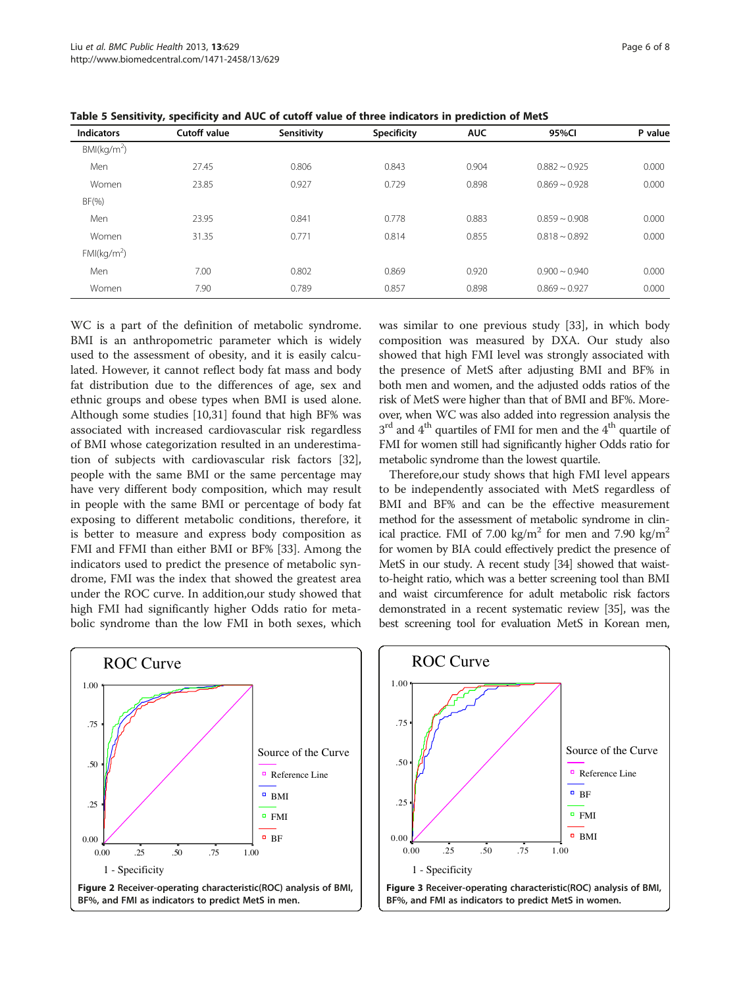|                         | . .<br>. .          |             |                    | . .        |                    |         |
|-------------------------|---------------------|-------------|--------------------|------------|--------------------|---------|
| <b>Indicators</b>       | <b>Cutoff value</b> | Sensitivity | <b>Specificity</b> | <b>AUC</b> | 95%CI              | P value |
| $BMl(kq/m^2)$           |                     |             |                    |            |                    |         |
| Men                     | 27.45               | 0.806       | 0.843              | 0.904      | $0.882 \sim 0.925$ | 0.000   |
| Women                   | 23.85               | 0.927       | 0.729              | 0.898      | $0.869 \sim 0.928$ | 0.000   |
| $BF(\% )$               |                     |             |                    |            |                    |         |
| Men                     | 23.95               | 0.841       | 0.778              | 0.883      | $0.859 \sim 0.908$ | 0.000   |
| Women                   | 31.35               | 0.771       | 0.814              | 0.855      | $0.818 \sim 0.892$ | 0.000   |
| FMl(kq/m <sup>2</sup> ) |                     |             |                    |            |                    |         |
| Men                     | 7.00                | 0.802       | 0.869              | 0.920      | $0.900 \sim 0.940$ | 0.000   |
| Women                   | 7.90                | 0.789       | 0.857              | 0.898      | $0.869 \sim 0.927$ | 0.000   |

<span id="page-5-0"></span>Table 5 Sensitivity, specificity and AUC of cutoff value of three indicators in prediction of MetS

WC is a part of the definition of metabolic syndrome. BMI is an anthropometric parameter which is widely used to the assessment of obesity, and it is easily calculated. However, it cannot reflect body fat mass and body fat distribution due to the differences of age, sex and ethnic groups and obese types when BMI is used alone. Although some studies [\[10,](#page-6-0)[31\]](#page-7-0) found that high BF% was associated with increased cardiovascular risk regardless of BMI whose categorization resulted in an underestimation of subjects with cardiovascular risk factors [\[32](#page-7-0)], people with the same BMI or the same percentage may have very different body composition, which may result in people with the same BMI or percentage of body fat exposing to different metabolic conditions, therefore, it is better to measure and express body composition as FMI and FFMI than either BMI or BF% [\[33\]](#page-7-0). Among the indicators used to predict the presence of metabolic syndrome, FMI was the index that showed the greatest area under the ROC curve. In addition,our study showed that high FMI had significantly higher Odds ratio for metabolic syndrome than the low FMI in both sexes, which

ROC Curve 1 - Specificity 0.00 .25 .50 .75 1.00 1.00 .75 .50 .25 0.00 Source of the Curve <sup>o</sup> Reference Line  $\overline{P}$  BMI  $P$  FMI  $B$ F Figure 2 Receiver-operating characteristic(ROC) analysis of BMI, BF%, and FMI as indicators to predict MetS in men.

was similar to one previous study [[33](#page-7-0)], in which body composition was measured by DXA. Our study also showed that high FMI level was strongly associated with the presence of MetS after adjusting BMI and BF% in both men and women, and the adjusted odds ratios of the risk of MetS were higher than that of BMI and BF%. Moreover, when WC was also added into regression analysis the  $3<sup>rd</sup>$  and  $4<sup>th</sup>$  quartiles of FMI for men and the  $4<sup>th</sup>$  quartile of FMI for women still had significantly higher Odds ratio for metabolic syndrome than the lowest quartile.

Therefore,our study shows that high FMI level appears to be independently associated with MetS regardless of BMI and BF% and can be the effective measurement method for the assessment of metabolic syndrome in clinical practice. FMI of 7.00 kg/m<sup>2</sup> for men and 7.90 kg/m<sup>2</sup> for women by BIA could effectively predict the presence of MetS in our study. A recent study [\[34\]](#page-7-0) showed that waistto-height ratio, which was a better screening tool than BMI and waist circumference for adult metabolic risk factors demonstrated in a recent systematic review [[35](#page-7-0)], was the best screening tool for evaluation MetS in Korean men,

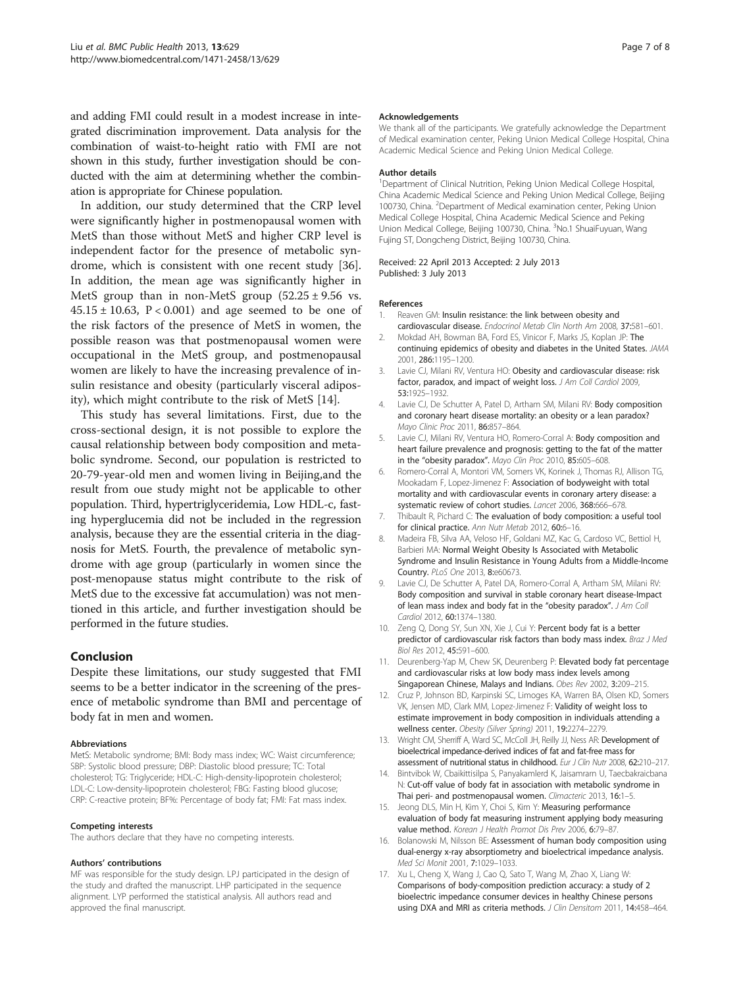<span id="page-6-0"></span>and adding FMI could result in a modest increase in integrated discrimination improvement. Data analysis for the combination of waist-to-height ratio with FMI are not shown in this study, further investigation should be conducted with the aim at determining whether the combination is appropriate for Chinese population.

In addition, our study determined that the CRP level were significantly higher in postmenopausal women with MetS than those without MetS and higher CRP level is independent factor for the presence of metabolic syndrome, which is consistent with one recent study [\[36](#page-7-0)]. In addition, the mean age was significantly higher in MetS group than in non-MetS group  $(52.25 \pm 9.56 \text{ vs.})$  $45.15 \pm 10.63$ ,  $P < 0.001$ ) and age seemed to be one of the risk factors of the presence of MetS in women, the possible reason was that postmenopausal women were occupational in the MetS group, and postmenopausal women are likely to have the increasing prevalence of insulin resistance and obesity (particularly visceral adiposity), which might contribute to the risk of MetS [14].

This study has several limitations. First, due to the cross-sectional design, it is not possible to explore the causal relationship between body composition and metabolic syndrome. Second, our population is restricted to 20-79-year-old men and women living in Beijing,and the result from oue study might not be applicable to other population. Third, hypertriglyceridemia, Low HDL-c, fasting hyperglucemia did not be included in the regression analysis, because they are the essential criteria in the diagnosis for MetS. Fourth, the prevalence of metabolic syndrome with age group (particularly in women since the post-menopause status might contribute to the risk of MetS due to the excessive fat accumulation) was not mentioned in this article, and further investigation should be performed in the future studies.

## Conclusion

Despite these limitations, our study suggested that FMI seems to be a better indicator in the screening of the presence of metabolic syndrome than BMI and percentage of body fat in men and women.

#### Abbreviations

MetS: Metabolic syndrome; BMI: Body mass index; WC: Waist circumference; SBP: Systolic blood pressure; DBP: Diastolic blood pressure; TC: Total cholesterol; TG: Triglyceride; HDL-C: High-density-lipoprotein cholesterol; LDL-C: Low-density-lipoprotein cholesterol; FBG: Fasting blood glucose; CRP: C-reactive protein; BF%: Percentage of body fat; FMI: Fat mass index.

#### Competing interests

The authors declare that they have no competing interests.

#### Authors' contributions

MF was responsible for the study design. LPJ participated in the design of the study and drafted the manuscript. LHP participated in the sequence alignment. LYP performed the statistical analysis. All authors read and approved the final manuscript.

#### Acknowledgements

We thank all of the participants. We gratefully acknowledge the Department of Medical examination center, Peking Union Medical College Hospital, China Academic Medical Science and Peking Union Medical College.

#### Author details

<sup>1</sup>Department of Clinical Nutrition, Peking Union Medical College Hospital China Academic Medical Science and Peking Union Medical College, Beijing 100730, China. <sup>2</sup>Department of Medical examination center, Peking Union Medical College Hospital, China Academic Medical Science and Peking Union Medical College, Beijing 100730, China. <sup>3</sup>No.1 ShuaiFuyuan, Wang Fujing ST, Dongcheng District, Beijing 100730, China.

#### Received: 22 April 2013 Accepted: 2 July 2013 Published: 3 July 2013

#### References

- Reaven GM: Insulin resistance: the link between obesity and cardiovascular disease. Endocrinol Metab Clin North Am 2008, 37:581–601.
- 2. Mokdad AH, Bowman BA, Ford ES, Vinicor F, Marks JS, Koplan JP: The continuing epidemics of obesity and diabetes in the United States. JAMA 2001, 286:1195–1200.
- 3. Lavie CJ, Milani RV, Ventura HO: Obesity and cardiovascular disease: risk factor, paradox, and impact of weight loss. J Am Coll Cardiol 2009, 53:1925–1932.
- 4. Lavie CJ, De Schutter A, Patel D, Artham SM, Milani RV: Body composition and coronary heart disease mortality: an obesity or a lean paradox? Mayo Clinic Proc 2011, 86:857–864.
- Lavie CJ, Milani RV, Ventura HO, Romero-Corral A: Body composition and heart failure prevalence and prognosis: getting to the fat of the matter in the "obesity paradox". Mayo Clin Proc 2010, 85:605–608.
- 6. Romero-Corral A, Montori VM, Somers VK, Korinek J, Thomas RJ, Allison TG, Mookadam F, Lopez-Jimenez F: Association of bodyweight with total mortality and with cardiovascular events in coronary artery disease: a systematic review of cohort studies. Lancet 2006, 368:666-678.
- 7. Thibault R, Pichard C: The evaluation of body composition: a useful tool for clinical practice. Ann Nutr Metab 2012, 60:6–16.
- 8. Madeira FB, Silva AA, Veloso HF, Goldani MZ, Kac G, Cardoso VC, Bettiol H, Barbieri MA: Normal Weight Obesity Is Associated with Metabolic Syndrome and Insulin Resistance in Young Adults from a Middle-Income Country. PLoS One 2013, 8:e60673.
- 9. Lavie CJ, De Schutter A, Patel DA, Romero-Corral A, Artham SM, Milani RV: Body composition and survival in stable coronary heart disease-Impact of lean mass index and body fat in the "obesity paradox". J Am Coll Cardiol 2012, 60:1374–1380.
- 10. Zeng Q, Dong SY, Sun XN, Xie J, Cui Y: Percent body fat is a better predictor of cardiovascular risk factors than body mass index. Braz J Med Biol Res 2012, 45:591-600
- 11. Deurenberg-Yap M, Chew SK, Deurenberg P: Elevated body fat percentage and cardiovascular risks at low body mass index levels among Singaporean Chinese, Malays and Indians. Obes Rev 2002, 3:209–215.
- 12. Cruz P, Johnson BD, Karpinski SC, Limoges KA, Warren BA, Olsen KD, Somers VK, Jensen MD, Clark MM, Lopez-Jimenez F: Validity of weight loss to estimate improvement in body composition in individuals attending a wellness center. Obesity (Silver Spring) 2011, 19:2274-2279.
- 13. Wright CM, Sherriff A, Ward SC, McColl JH, Reilly JJ, Ness AR: Development of bioelectrical impedance-derived indices of fat and fat-free mass for assessment of nutritional status in childhood. Eur J Clin Nutr 2008, 62:210–217.
- 14. Bintvibok W, Cbaikittisilpa S, Panyakamlerd K, Jaisamrarn U, Taecbakraicbana N: Cut-off value of body fat in association with metabolic syndrome in Thai peri- and postmenopausal women. Climacteric 2013, 16:1-5.
- 15. Jeong DLS, Min H, Kim Y, Choi S, Kim Y: Measuring performance evaluation of body fat measuring instrument applying body measuring value method. Korean J Health Promot Dis Prev 2006, 6:79-87.
- 16. Bolanowski M, Nilsson BE: Assessment of human body composition using dual-energy x-ray absorptiometry and bioelectrical impedance analysis. Med Sci Monit 2001, 7:1029–1033.
- 17. Xu L, Cheng X, Wang J, Cao Q, Sato T, Wang M, Zhao X, Liang W: Comparisons of body-composition prediction accuracy: a study of 2 bioelectric impedance consumer devices in healthy Chinese persons using DXA and MRI as criteria methods. J Clin Densitom 2011, 14:458-464.